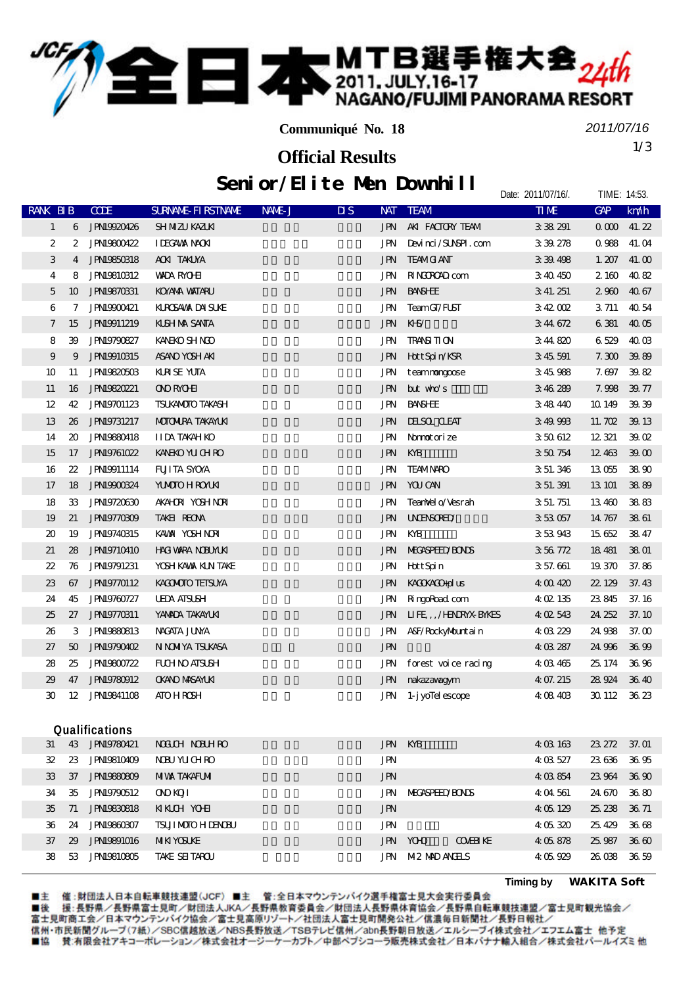

**Communiqué No. 18**

*2011/07/16*

Date: 2011/07/16/. TIME: 14:53

1/3 **Official Results**

## Senior/Elite Men Downhill

| RANK BIB                    |                                     | CCE                | <b>SURVANE FIRSTIVANE</b> | NAME J | $\overline{\mathbf{u}}$ s<br><b>NAT</b> | <b>TEAM</b>                     | <b>TIME</b> | GP      | km/h   |
|-----------------------------|-------------------------------------|--------------------|---------------------------|--------|-----------------------------------------|---------------------------------|-------------|---------|--------|
| $\mathbf{1}$                | 6                                   | JPN19920426        | SHNIZU KAZUKI             |        | <b>JPN</b>                              | AKI FACTORY TEAM                | 3 38 291    | 000     | 41.22  |
| 2                           | 2                                   | <b>JPN19800422</b> | <b>IDEGAVAX NACKI</b>     |        | JPN                                     | Devinci/SUNSPI.com              | 3 39 278    | 0988    | 41.04  |
| 3                           | 4                                   | <b>JPNI9850318</b> | <b>ACKI TAKUYA</b>        |        | JPN                                     | <b>TEAMG ANT</b>                | 3 39 498    | 1.207   | 41.00  |
| 4                           | 8                                   | <b>JPNI9810312</b> | <b>WADA RYOHI</b>         |        | JPN                                     | <b>RINGROAD</b> com             | 3 40 450    | 2 160   | 4082   |
| $\overline{5}$              | 10                                  | <b>JPN19870331</b> | <b>KOYAYA VAILARU</b>     |        | <b>JPN</b>                              | <b>BANSHEE</b>                  | 3 41.251    | 2900    | 4067   |
| 6                           | 7                                   | JPN19900421        | KUROSAWA DAI SUKE         |        | JPN                                     | TeamGI/FUST                     | 342 OO 2    | 3711    | 40 54  |
| 7                           | 15                                  | JPN19911219        | <b>KISH NA SANTA</b>      |        | <b>JPN</b>                              | $K-S$                           | 344672      | 6381    | 4005   |
| 8                           | 39                                  | <b>JPN19790827</b> | KANEKO SH NOO             |        | JPN                                     | <b>TRANSI TI ON</b>             | 344820      | 6529    | 400    |
| 9                           | 9                                   | <b>JPNI9910315</b> | ASANO YOSH AKI            |        | <b>JPN</b>                              | Hott Spin/KSR                   | 3 45 591    | 7.300   | 39.89  |
| 10                          | 11                                  | JPN19820503        | <b>KRSE YUTA</b>          |        | JPN                                     | teammongoose                    | 345988      | 7.697   | 39.82  |
| 11                          | 16                                  | JPN19820221        | <b>ONO ROLE</b>           |        | JPN                                     | but who's                       | 346289      | 7.998   | 39.77  |
| 12                          | 42                                  | JPN19701123        | <b>TSUKANOTO TAKASH</b>   |        | JPN                                     | <b>BANSHEE</b>                  | 348440      | 10 14 9 | 39.39  |
| 13                          | 26                                  | JPN19731217        | <b>MOTOMIRA TAKAYLKI</b>  |        | <b>JPN</b>                              | <b>IHSOL CLEAT</b>              | 349993      | 11.702  | 39 13  |
| 14                          | $\boldsymbol{\boldsymbol{\lambda}}$ | <b>JPNI9880418</b> | <b>IIDA TAKAHKO</b>       |        | JPN                                     | Namatorize                      | 350612      | 12 321  | 39Q    |
| 15                          | 17                                  | <b>JPN19761022</b> | KANEKO YU CHRO            |        | <b>JPN</b>                              | KYB                             | 350754      | 12.463  | 3900   |
| 16                          | $\boldsymbol{\mathit{22}}$          | JPN19911114        | <b>FUITA SYOYA</b>        |        | JPN                                     | <b>TEAMNARO</b>                 | 3 51.346    | 13055   | 3890   |
| 17                          | 18                                  | JPNI9900324        | <b>YUMOTO H ROYUKI</b>    |        | JPN                                     | YOU CAN                         | 3 51 391    | 13 101  | 3889   |
| 18                          | 33                                  | <b>JPN19720630</b> | <b>AKAHOR YOSHNOR</b>     |        | JPN                                     | TeanNel o/Vesrah                | 3 51.751    | 13 460  | 3883   |
| 19                          | 21                                  | <b>JPN19770309</b> | TAKEI REONA               |        | <b>JPN</b>                              | <b>UNENSORED</b>                | 353057      | 14 767  | 3861   |
| $\boldsymbol{\mathfrak{D}}$ | 19                                  | <b>JPN19740315</b> | KAWA YOSH NOR             |        | JPN                                     | KYB                             | 353943      | 1562    | 3847   |
| 21                          | 28                                  | <b>JPN19710410</b> | <b>HACI WARA NOBUMUKI</b> |        | JPN                                     | <b>NECASPEED BONS</b>           | 356772      | 18 481  | 3801   |
| 22                          | 76                                  | <b>JPN19791231</b> | YOSH KAVAX KIN TAKE       |        | JPN                                     | <b>HttSpin</b>                  | 3 57.661    | 19 370  | 37.86  |
| 23                          | 67                                  | JPN19770112        | KACMOTO TEISUYA           |        | <b>JPN</b>                              | KACKACO-plus                    | 400420      | 22 129  | 37.43  |
| 24                          | 45                                  | <b>JPN19760727</b> | <b>UEDA AISUSH</b>        |        | <b>JPN</b>                              | RingoRoad com                   | 4 02 135    | 23845   | 37.16  |
| 25                          | 27                                  | <b>JPN19770311</b> | YANADA TAKAYUKI           |        | <b>JPN</b>                              | LIFE,, /HNRYXBYNES              | 4 02 543    | 24 252  | 37.10  |
| 26                          | 3                                   | <b>JPN19880813</b> | NACATA JUNA               |        | JPN                                     | A&F/RockyMountain               | 4 03 229    | 24.938  | 37. CO |
| 27                          | 50                                  | JPN19790402        | <b>N NOMIYA TSUKASA</b>   |        | <b>JPN</b>                              |                                 | 4 03 287    | 24 996  | 3699   |
| 28                          | 25                                  | <b>JPN19800722</b> | <b>FLOH NO ATSUSH</b>     |        | JPN                                     | forest voice racing             | 4 03 465    | 25, 174 | 3696   |
| 29                          | 47                                  | <b>JPN19780912</b> | <b>OKANO MASAYLKI</b>     |        | <b>JPN</b>                              | nakazawagym                     | 4 07.215    | 28924   | 3640   |
| 30                          | 12                                  | <b>JPNI9841108</b> | <b>ATO H ROSH</b>         |        | <b>JPN</b>                              | 1- j yoTel escope               | 4 08 403    | 30 112  | 36.23  |
|                             |                                     |                    |                           |        |                                         |                                 |             |         |        |
|                             |                                     | Qualifications     |                           |        |                                         |                                 |             |         |        |
| 31                          |                                     | 43 JPN19780421     | NOUCH NORTHRO             |        | <b>JPN</b>                              | KYB                             | 4 03 163    | 23 272  | 37.01  |
| 32                          | 23                                  | <b>JPNI9810409</b> | <b>NBU YUCHRO</b>         |        | <b>JPN</b>                              |                                 | 4 03 527    | 23636   | 3695   |
| 33                          | 37                                  | <b>JPN19880809</b> | <b>MIVAX TAKAFUMI</b>     |        | <b>JPN</b>                              |                                 | 4 03 854    | 23964   | 3690   |
| 34                          | 35                                  | JPN19790512        | <b>ONDI</b>               |        | JPN                                     | <b>MEGASPHED/BONDS</b>          | 404561      | 24.670  | 3680   |
| 35                          | 71                                  | <b>JPNI9830818</b> | <b>NKIH YOHI</b>          |        | <b>JPN</b>                              |                                 | 405129      | 25, 238 | 36.71  |
| 36                          | 24                                  | <b>JPN19860307</b> | <b>TSUI MOTO H LENCEU</b> |        | <b>JPN</b>                              |                                 | 4 05 320    | 25429   | 3668   |
| 37                          | 29                                  | <b>JPN19891016</b> | <b>MIKI YOSUKE</b>        |        | JPN                                     | <b>COVERENTE</b><br><b>YOHO</b> | 4 05 878    | 25.987  | 36 60  |
| 38                          | 53                                  | <b>JPN19810805</b> | TAKE SEITAROU             |        | JPN                                     | <b>M2 MD ANELS</b>              | 4 05 929    | 26.038  | 36.59  |
|                             |                                     |                    |                           |        |                                         |                                 |             |         |        |

■主 催 :財団法人日本自転車競技連盟(JCF)■主 管:全日本マウンテンバイク選手権富士見大会実行委員会<br>■後 援:長野県/長野県富士見町/財団法人JKA/長野県教育委員会/財団法人長野県体育協会/長野県自転車競技連盟/富士見町観光協会/<br>富士見町商工会/日本マウンテンバイク協会/富士見高原リゾート/社団法人富士見町開発公社/信濃毎日新聞社/長野日報社/ 信州·市民新聞グループ(7紙)/SBC信越放送/NBS長野放送/TSBテレビ信州/abn長野朝日放送/エルシーブイ株式会社/エフエム富士 他予定 ■協 賛:有限会社アキコーポレーション/株式会社オージーケーカブト/中部ペプシコーラ販売株式会社/日本バナナ輸入組合/株式会社パールイズミ他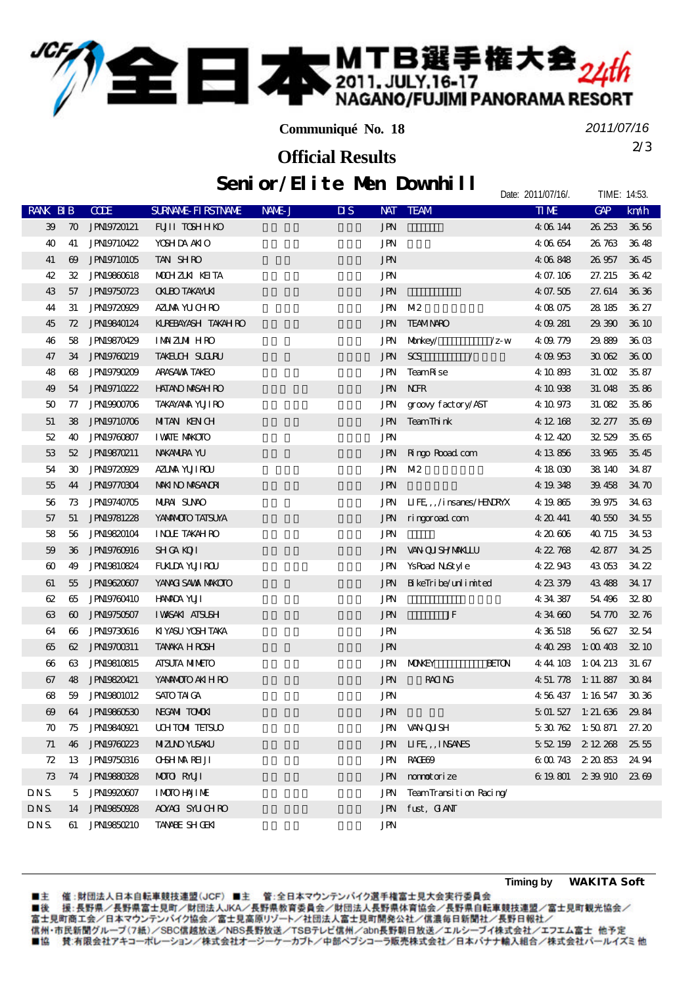

■本 MTB選手権大会<sub>24th</sub>

*2011/07/16*

Date: 2011/07/16/. TIME: 14:53.

2/3 **Official Results**

## Senior/Elite Men Downhill

| <b>RANK BIB</b>       |                       | <b>CODE</b>        | <b>SURNALE FIRSTNAME</b> | NAME J | $\overline{\mathbf{u}}$ s | <b>NAT</b> | <b>TEAM</b>                     |                | $\Pi$ <b>ME</b> | GP                | km/h              |
|-----------------------|-----------------------|--------------------|--------------------------|--------|---------------------------|------------|---------------------------------|----------------|-----------------|-------------------|-------------------|
| 39                    | $\boldsymbol{\pi}$    | <b>JPN19720121</b> | FUII TOSHHKO             |        |                           | <b>JPN</b> |                                 |                | 4 06 144        | 26 253            | 36.56             |
| 40                    | 41                    | <b>JPN19710422</b> | <b>YOSHIDA ANIO</b>      |        |                           | JPN        |                                 |                | 4 06 654        | 26 763            | 3648              |
| 41                    | $\boldsymbol{\omega}$ | <b>JPN19710105</b> | TAN SHRO                 |        |                           | <b>JPN</b> |                                 |                | 4 06 848        | 26 957            | 3645              |
| 42                    | 32                    | <b>JPN19860618</b> | MOHZUK KEITA             |        |                           | JPN        |                                 |                | 4 07.106        | 27.215            | 3642              |
| 43                    | 57                    | JPN19750723        | <b>OKLEO TAKAYLKI</b>    |        |                           | <b>JPN</b> |                                 |                | 4 07.505        | 27.614            | 36.36             |
| 44                    | 31                    | <b>JPN19720929</b> | AZUAA YUCHRO             |        |                           | JPN        | M <sub>2</sub>                  |                | 4 08 075        | 28 18 5           | 36 27             |
| 45                    | 72                    | <b>JPN19840124</b> | KUREBAYASH TAKAH RO      |        |                           | JPN        | <b>TEAMINRO</b>                 |                | 4 09 281        | 29.390            | 36 10             |
| 46                    | 58                    | JPN19870429        | <b>IMAZMIHRO</b>         |        |                           | JPN        | Morkey/                         | $\sqrt{z}$ - W | 4:09.779        | 29.889            | 36 O <sub>3</sub> |
| 47                    | 34                    | JPN19760219        | <b>TAKELCH SUCIRU</b>    |        |                           | <b>JPN</b> | SGS<br>$\overline{\phantom{a}}$ |                | 4:09:953        | 3002              | 3600              |
| 48                    | 68                    | JPN19790209        | ARASAWA TAKEO            |        |                           | JPN        | TeamR se                        |                | 4 10 893        | 31. OO2           | 35.87             |
| 49                    | 54                    | <b>JPN19710222</b> | <b>HATANO MASAH RO</b>   |        |                           | JPN        | <b>NHR</b>                      |                | 4 10 938        | 31.048            | 35.86             |
| 50                    | 77                    | JPN19900706        | <b>TAKAYANA YUJI RO</b>  |        |                           | JPN        | groovy factory/AST              |                | 4 10 973        | 31.082            | 35.86             |
| 51                    | 38                    | <b>JPN19710706</b> | <b>MIAN KENCH</b>        |        |                           | <b>JPN</b> | TeamThink                       |                | 4 12 168        | 32.277            | 3569              |
| 52                    | 40                    | <b>JPN19760807</b> | <b>I WAIE MAKOIO</b>     |        |                           | JPN        |                                 |                | 4 12 420        | 32529             | 3565              |
| 53                    | 52                    | <b>JPN19870211</b> | NAKANIRA YU              |        |                           | JPN        | Ringo Road com                  |                | 4 13 856        | 33965             | 3545              |
| 54                    | 30                    | <b>JPN19720929</b> | AZIMA YUJIROU            |        |                           | JPN        | M <sub>2</sub>                  |                | 4 18 030        | 38 140            | 34 87             |
| 55                    | 44                    | <b>JPN19770304</b> | <b>MMND MASANORI</b>     |        |                           | <b>JPN</b> |                                 |                | 4 19 348        | 39.458            | 34 70             |
| 56                    | 73                    | <b>JPN19740705</b> | <b>NIRAI SUNO</b>        |        |                           | JPN        | $IIFE,$ , /i nsanes/HNRYX       |                | 4 19 865        | 39.975            | 34 63             |
| 57                    | 51                    | <b>JPN19781228</b> | YANMOTO TATSUYA          |        |                           | JPN        | ringgroad com                   |                | 4 20 441        | 40550             | 3455              |
| 58                    | 56                    | <b>JPN19820104</b> | <b>INDE TAKAHRO</b>      |        |                           | JPN        |                                 |                | 4 20 606        | 40 715            | 34 53             |
| 59                    | 36                    | <b>JPN19760916</b> | <b>SHICA KOTI</b>        |        |                           | JPN        | <b>VAN QUISHYMMALLU</b>         |                | 4 22 768        | 42 877            | 34 25             |
| $\boldsymbol{\omega}$ | 49                    | <b>JPN19810824</b> | <b>FUALDA YUJI ROU</b>   |        |                           | JPN        | YsRoad Notyle                   |                | 4 22 943        | 43053             | 34 22             |
| 61                    | 55                    | <b>JPN19620607</b> | YANACI SAWA MAKOTO       |        |                           | JPN        | BikeTribe/unlimited             |                | 4 23 379        | 43 488            | 34 17             |
| 62                    | 65                    | <b>JPN19760410</b> | <b>HAMDA YUJI</b>        |        |                           | JPN        |                                 |                | 434387          | 54 496            | 32.80             |
| 63                    | $\boldsymbol{\omega}$ | <b>JPN19750507</b> | <b>IWSAKI ATSUSH</b>     |        |                           | <b>JPN</b> | JF                              |                | 434660          | 54 770            | 3276              |
| 64                    | 66                    | <b>JPN19730616</b> | KIYASU YOSH TAKA         |        |                           | JPN        |                                 |                | 4 36 518        | 56 627            | 3254              |
| 65                    | 62                    | JPN19700311        | <b>TANKA HROSH</b>       |        |                           | <b>JPN</b> |                                 |                | 4:40 293        | 1:00403           | 32 10             |
| $\boldsymbol{\omega}$ | 63                    | <b>JPN19810815</b> | <b>AISUIA MIMEIO</b>     |        |                           | JPN        | <b>MOKEY</b>                    | <b>BEION</b>   | 4:44:103        | 1:04213           | 31.67             |
| 67                    | 48                    | <b>JPN19820421</b> | YANANOTO AKI HRO         |        |                           | <b>JPN</b> | <b>RACING</b>                   |                | 4 51, 778       | 1:11.887          | 3084              |
| 68                    | 59                    | <b>JPN19801012</b> | SATO TAI GA              |        |                           | JPN        |                                 |                | 4 56 437        | 1:16 547          | 3036              |
| $\boldsymbol{\omega}$ | 64                    | JPN19860530        | NECANI TOMOKI            |        |                           | <b>JPN</b> |                                 |                | 5 01.527        | 1: 21. 636        | 29.84             |
| 70                    | 75                    | <b>JPN19840921</b> | <b>UHTOM TEISLO</b>      |        |                           |            | JPN WANGUISH                    |                |                 | $530762$ 1:50 871 | 27. 20            |
| 71                    | 46                    | JPN19760223        | <b>MIZINO YUSAKU</b>     |        |                           | JPN        | LIFE, INSANS                    |                |                 | 5 52 159 2 12 268 | 25.55             |
| 72                    | 13                    | <b>JPN19750316</b> | <b>OBHMAREJI</b>         |        |                           | JPN        | RACHO <sub>2</sub>              |                |                 | 6 00 743 2 20 853 | 24 94             |
| 73                    | 74                    | <b>JPN19880328</b> | <b>MOTO RYUT</b>         |        |                           | JPN        | mmotorize                       |                |                 | 6 19 801 2 39 910 | 2369              |
| DNS.                  | 5                     | JPN19920607        | <b>IMOIO HAJIME</b>      |        |                           | JPN        | TeamTransition Racing           |                |                 |                   |                   |
| DNS.                  | 14                    | <b>JPN19850928</b> | AOYACI SYUCHRO           |        |                           | JPN        | fust, GANT                      |                |                 |                   |                   |
| $\mathbf{DNS}$        | 61                    | <b>JPN19850210</b> | <b>TANNE SHOEK</b>       |        |                           | JPN        |                                 |                |                 |                   |                   |